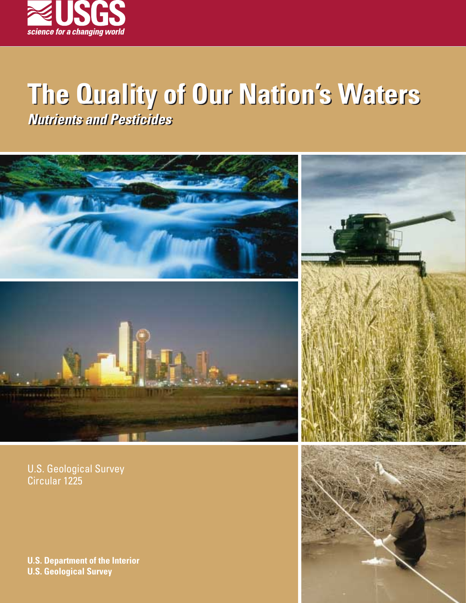

# **The Quality of Our Nation's Waters Nutrients and Pesticides Nutrients and Pesticides**



U.S. Geological Survey Circular 1225

**U.S. Department of the Interior U.S. Geological Survey**

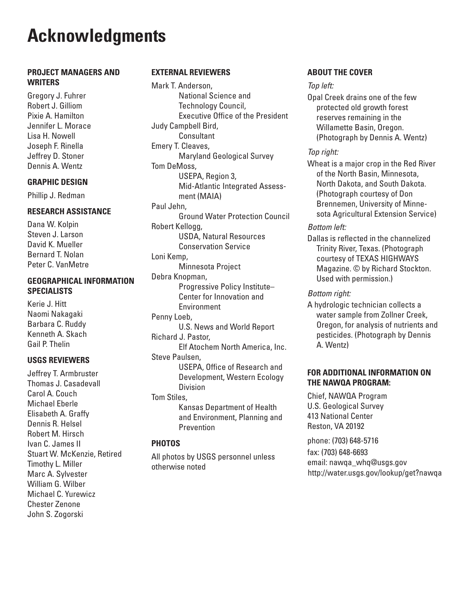# **Acknowledgments**

#### **PROJECT MANAGERS AND WRITERS**

Gregory J. Fuhrer Robert J. Gilliom Pixie A. Hamilton Jennifer L. Morace Lisa H. Nowell Joseph F. Rinella Jeffrey D. Stoner Dennis A. Wentz

#### **GRAPHIC DESIGN**

Phillip J. Redman

#### **RESEARCH ASSISTANCE**

Dana W. Kolpin Steven J. Larson David K. Mueller Bernard T. Nolan Peter C. VanMetre

## **GEOGRAPHICAL INFORMATION SPECIALISTS**

Kerie J. Hitt Naomi Nakagaki Barbara C. Ruddy Kenneth A. Skach Gail P. Thelin

#### **USGS REVIEWERS**

Jeffrey T. Armbruster Thomas J. Casadevall Carol A. Couch Michael Eberle Elisabeth A. Graffy Dennis R. Helsel Robert M. Hirsch Ivan C. James II Stuart W. McKenzie, Retired Timothy L. Miller Marc A. Sylvester William G. Wilber Michael C. Yurewicz Chester Zenone John S. Zogorski

### **EXTERNAL REVIEWERS**

Mark T. Anderson, National Science and Technology Council, Executive Office of the President Judy Campbell Bird, **Consultant** Emery T. Cleaves, Maryland Geological Survey Tom DeMoss, USEPA, Region 3, Mid-Atlantic Integrated Assessment (MAIA) Paul Jehn, Ground Water Protection Council Robert Kellogg, USDA, Natural Resources Conservation Service Loni Kemp, Minnesota Project Debra Knopman, Progressive Policy Institute– Center for Innovation and Environment Penny Loeb, U.S. News and World Report Richard J. Pastor, Elf Atochem North America, Inc. Steve Paulsen, USEPA, Office of Research and Development, Western Ecology Division Tom Stiles, Kansas Department of Health and Environment, Planning and **Prevention** 

#### **PHOTOS**

All photos by USGS personnel unless otherwise noted

## **ABOUT THE COVER**

#### Top left:

Opal Creek drains one of the few protected old growth forest reserves remaining in the Willamette Basin, Oregon. (Photograph by Dennis A. Wentz)

## Top right:

Wheat is a major crop in the Red River of the North Basin, Minnesota, North Dakota, and South Dakota. (Photograph courtesy of Don Brennemen, University of Minnesota Agricultural Extension Service)

#### Bottom left:

Dallas is reflected in the channelized Trinity River, Texas. (Photograph courtesy of TEXAS HIGHWAYS Magazine. © by Richard Stockton. Used with permission.)

#### Bottom right:

A hydrologic technician collects a water sample from Zollner Creek, Oregon, for analysis of nutrients and pesticides. (Photograph by Dennis A. Wentz)

## **FOR ADDITIONAL INFORMATION ON THE NAWQA PROGRAM:**

Chief, NAWQA Program U.S. Geological Survey 413 National Center Reston, VA 20192

phone: (703) 648-5716 fax: (703) 648-6693 email: nawqa\_whq@usgs.gov http://water.usgs.gov/lookup/get?nawqa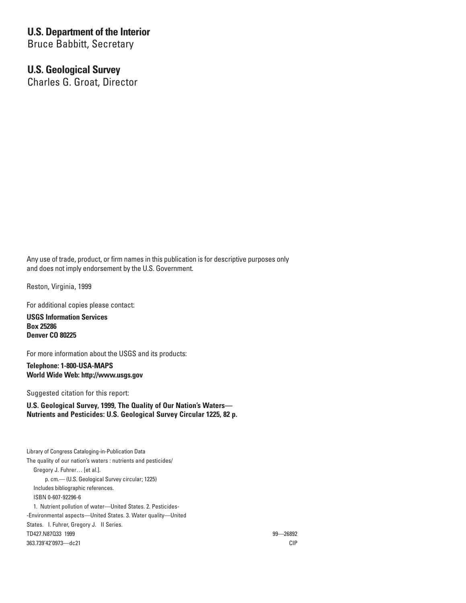# **U.S. Department of the Interior**

Bruce Babbitt, Secretary

## **U.S. Geological Survey**

Charles G. Groat, Director

Any use of trade, product, or firm names in this publication is for descriptive purposes only and does not imply endorsement by the U.S. Government.

Reston, Virginia, 1999

For additional copies please contact:

**USGS Information Services Box 25286 Denver CO 80225**

For more information about the USGS and its products:

**Telephone: 1-800-USA-MAPS World Wide Web: http://www.usgs.gov**

Suggested citation for this report:

**U.S. Geological Survey, 1999, The Quality of Our Nation's Waters— Nutrients and Pesticides: U.S. Geological Survey Circular 1225, 82 p.**

Library of Congress Cataloging-in-Publication Data The quality of our nation's waters : nutrients and pesticides/ Gregory J. Fuhrer… [et al.]. p. cm.— (U.S. Geological Survey circular; 1225) Includes bibliographic references. ISBN 0-607-92296-6 1. Nutrient pollution of water—United States. 2. Pesticides- -Environmental aspects—United States. 3. Water quality—United States. I. Fuhrer, Gregory J. II Series. TD427.N87Q33 1999 99—26892 363.739'42'0973—dc21 CIP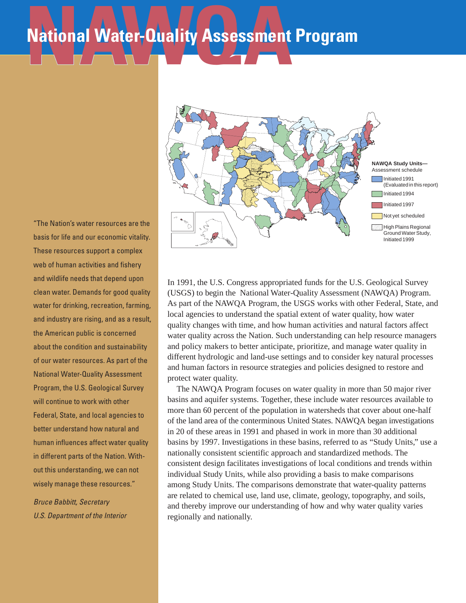# National Water-Quality Assessment **National Water-Quality Assessment Program**

"The Nation's water resources are the basis for life and our economic vitality. These resources support a complex web of human activities and fishery and wildlife needs that depend upon clean water. Demands for good quality water for drinking, recreation, farming, and industry are rising, and as a result, the American public is concerned about the condition and sustainability of our water resources. As part of the National Water-Quality Assessment Program, the U.S. Geological Survey will continue to work with other Federal, State, and local agencies to better understand how natural and human influences affect water quality in different parts of the Nation. Without this understanding, we can not wisely manage these resources."

Bruce Babbitt, Secretary U.S. Department of the Interior



In 1991, the U.S. Congress appropriated funds for the U.S. Geological Survey (USGS) to begin the National Water-Quality Assessment (NAWQA) Program. As part of the NAWQA Program, the USGS works with other Federal, State, and local agencies to understand the spatial extent of water quality, how water quality changes with time, and how human activities and natural factors affect water quality across the Nation. Such understanding can help resource managers and policy makers to better anticipate, prioritize, and manage water quality in different hydrologic and land-use settings and to consider key natural processes and human factors in resource strategies and policies designed to restore and protect water quality.

The NAWQA Program focuses on water quality in more than 50 major river basins and aquifer systems. Together, these include water resources available to more than 60 percent of the population in watersheds that cover about one-half of the land area of the conterminous United States. NAWQA began investigations in 20 of these areas in 1991 and phased in work in more than 30 additional basins by 1997. Investigations in these basins, referred to as "Study Units," use a nationally consistent scientific approach and standardized methods. The consistent design facilitates investigations of local conditions and trends within individual Study Units, while also providing a basis to make comparisons among Study Units. The comparisons demonstrate that water-quality patterns are related to chemical use, land use, climate, geology, topography, and soils, and thereby improve our understanding of how and why water quality varies regionally and nationally.